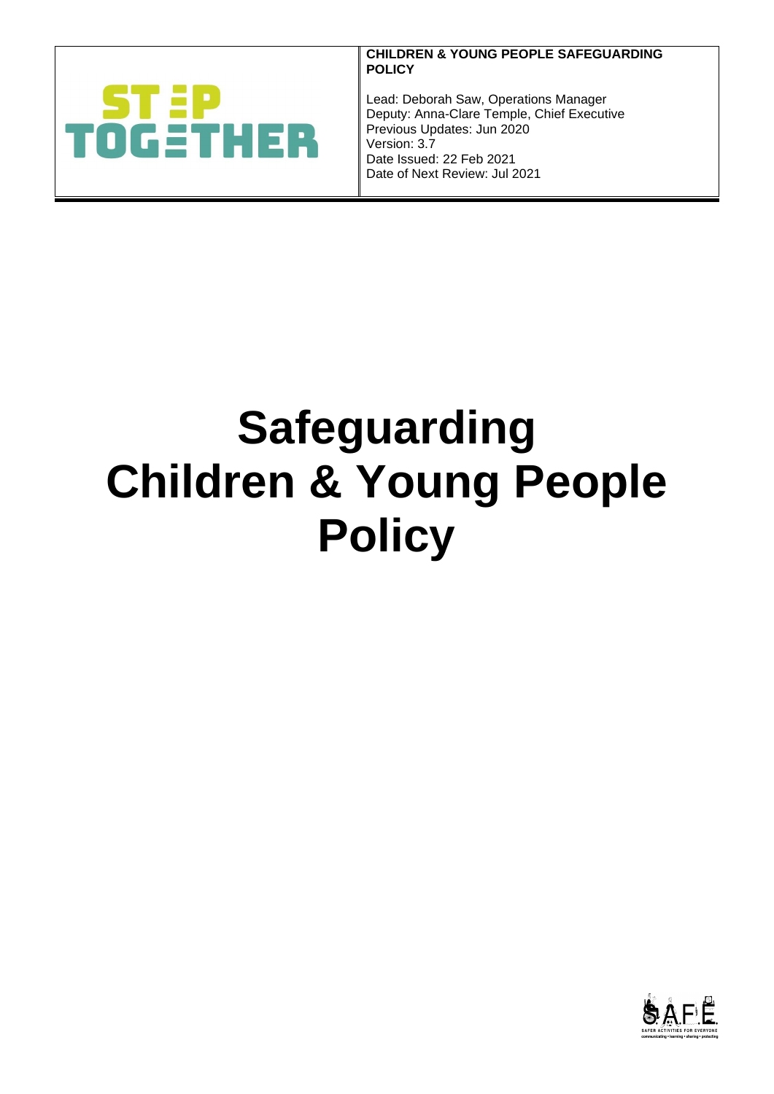

Lead: Deborah Saw, Operations Manager Deputy: Anna-Clare Temple, Chief Executive Previous Updates: Jun 2020 Version: 3.7 Date Issued: 22 Feb 2021 Date of Next Review: Jul 2021

# **Safeguarding Children & Young People Policy**

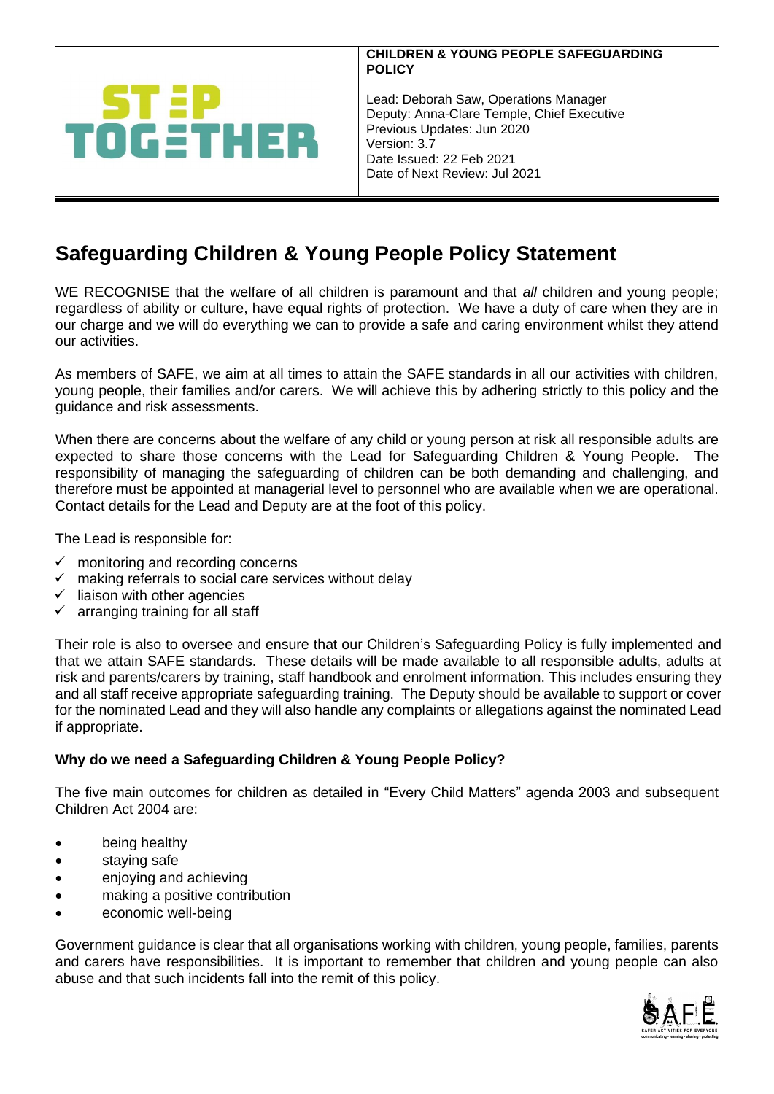

Lead: Deborah Saw, Operations Manager Deputy: Anna-Clare Temple, Chief Executive Previous Updates: Jun 2020 Version: 3.7 Date Issued: 22 Feb 2021 Date of Next Review: Jul 2021

# **Safeguarding Children & Young People Policy Statement**

WE RECOGNISE that the welfare of all children is paramount and that *all* children and young people; regardless of ability or culture, have equal rights of protection. We have a duty of care when they are in our charge and we will do everything we can to provide a safe and caring environment whilst they attend our activities.

As members of SAFE, we aim at all times to attain the SAFE standards in all our activities with children, young people, their families and/or carers. We will achieve this by adhering strictly to this policy and the guidance and risk assessments.

When there are concerns about the welfare of any child or young person at risk all responsible adults are expected to share those concerns with the Lead for Safeguarding Children & Young People. The responsibility of managing the safeguarding of children can be both demanding and challenging, and therefore must be appointed at managerial level to personnel who are available when we are operational. Contact details for the Lead and Deputy are at the foot of this policy.

The Lead is responsible for:

- $\checkmark$  monitoring and recording concerns
- $\checkmark$  making referrals to social care services without delay
- $\checkmark$  liaison with other agencies
- $\checkmark$  arranging training for all staff

Their role is also to oversee and ensure that our Children's Safeguarding Policy is fully implemented and that we attain SAFE standards. These details will be made available to all responsible adults, adults at risk and parents/carers by training, staff handbook and enrolment information. This includes ensuring they and all staff receive appropriate safeguarding training. The Deputy should be available to support or cover for the nominated Lead and they will also handle any complaints or allegations against the nominated Lead if appropriate.

# **Why do we need a Safeguarding Children & Young People Policy?**

The five main outcomes for children as detailed in "Every Child Matters" agenda 2003 and subsequent Children Act 2004 are:

- being healthy
- staying safe
- enjoying and achieving
- making a positive contribution
- economic well-being

Government guidance is clear that all organisations working with children, young people, families, parents and carers have responsibilities. It is important to remember that children and young people can also abuse and that such incidents fall into the remit of this policy.

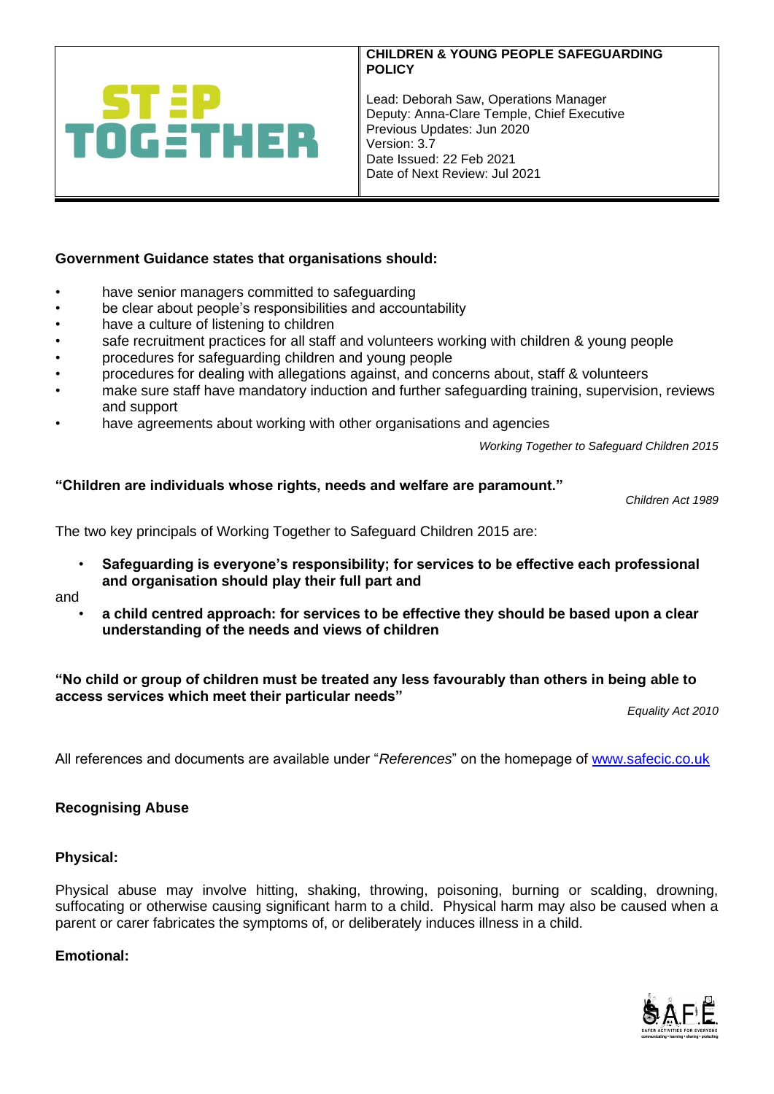

Lead: Deborah Saw, Operations Manager Deputy: Anna-Clare Temple, Chief Executive Previous Updates: Jun 2020 Version: 3.7 Date Issued: 22 Feb 2021 Date of Next Review: Jul 2021

# **Government Guidance states that organisations should:**

- have senior managers committed to safeguarding
- be clear about people's responsibilities and accountability
- have a culture of listening to children
- safe recruitment practices for all staff and volunteers working with children & young people
- procedures for safeguarding children and young people
- procedures for dealing with allegations against, and concerns about, staff & volunteers
- make sure staff have mandatory induction and further safeguarding training, supervision, reviews and support
- have agreements about working with other organisations and agencies

*Working Together to Safeguard Children 2015*

#### **"Children are individuals whose rights, needs and welfare are paramount."**

*Children Act 1989*

The two key principals of Working Together to Safeguard Children 2015 are:

• **Safeguarding is everyone's responsibility; for services to be effective each professional and organisation should play their full part and**

and

• **a child centred approach: for services to be effective they should be based upon a clear understanding of the needs and views of children**

#### **"No child or group of children must be treated any less favourably than others in being able to access services which meet their particular needs"**

*Equality Act 2010*

All references and documents are available under "*References*" on the homepage of [www.safecic.co.uk](http://www.safecic.co.uk/)

#### **Recognising Abuse**

#### **Physical:**

Physical abuse may involve hitting, shaking, throwing, poisoning, burning or scalding, drowning, suffocating or otherwise causing significant harm to a child. Physical harm may also be caused when a parent or carer fabricates the symptoms of, or deliberately induces illness in a child.

#### **Emotional:**

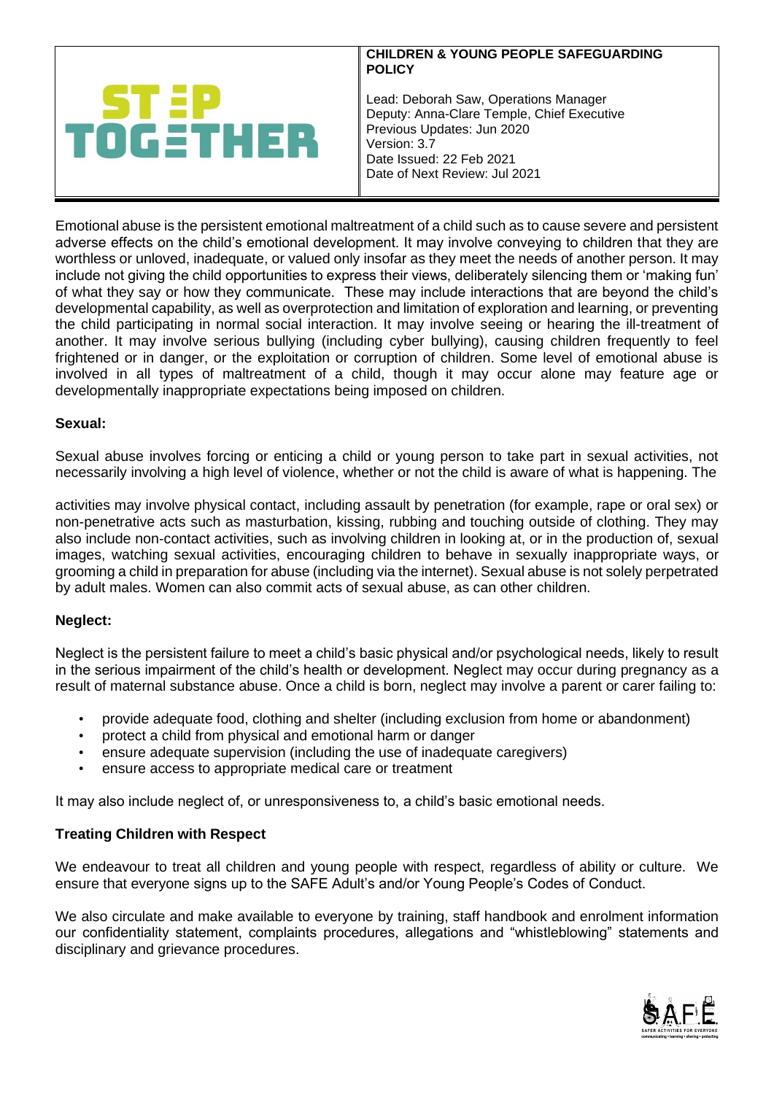

Lead: Deborah Saw, Operations Manager Deputy: Anna-Clare Temple, Chief Executive Previous Updates: Jun 2020 Version: 3.7 Date Issued: 22 Feb 2021 Date of Next Review: Jul 2021

Emotional abuse is the persistent emotional maltreatment of a child such as to cause severe and persistent adverse effects on the child's emotional development. It may involve conveying to children that they are worthless or unloved, inadequate, or valued only insofar as they meet the needs of another person. It may include not giving the child opportunities to express their views, deliberately silencing them or 'making fun' of what they say or how they communicate. These may include interactions that are beyond the child's developmental capability, as well as overprotection and limitation of exploration and learning, or preventing the child participating in normal social interaction. It may involve seeing or hearing the ill-treatment of another. It may involve serious bullying (including cyber bullying), causing children frequently to feel frightened or in danger, or the exploitation or corruption of children. Some level of emotional abuse is involved in all types of maltreatment of a child, though it may occur alone may feature age or developmentally inappropriate expectations being imposed on children.

#### **Sexual:**

Sexual abuse involves forcing or enticing a child or young person to take part in sexual activities, not necessarily involving a high level of violence, whether or not the child is aware of what is happening. The

activities may involve physical contact, including assault by penetration (for example, rape or oral sex) or non-penetrative acts such as masturbation, kissing, rubbing and touching outside of clothing. They may also include non-contact activities, such as involving children in looking at, or in the production of, sexual images, watching sexual activities, encouraging children to behave in sexually inappropriate ways, or grooming a child in preparation for abuse (including via the internet). Sexual abuse is not solely perpetrated by adult males. Women can also commit acts of sexual abuse, as can other children.

#### **Neglect:**

Neglect is the persistent failure to meet a child's basic physical and/or psychological needs, likely to result in the serious impairment of the child's health or development. Neglect may occur during pregnancy as a result of maternal substance abuse. Once a child is born, neglect may involve a parent or carer failing to:

- provide adequate food, clothing and shelter (including exclusion from home or abandonment)
- protect a child from physical and emotional harm or danger
- ensure adequate supervision (including the use of inadequate caregivers)
- ensure access to appropriate medical care or treatment

It may also include neglect of, or unresponsiveness to, a child's basic emotional needs.

#### **Treating Children with Respect**

We endeavour to treat all children and young people with respect, regardless of ability or culture. We ensure that everyone signs up to the SAFE Adult's and/or Young People's Codes of Conduct.

We also circulate and make available to everyone by training, staff handbook and enrolment information our confidentiality statement, complaints procedures, allegations and "whistleblowing" statements and disciplinary and grievance procedures.

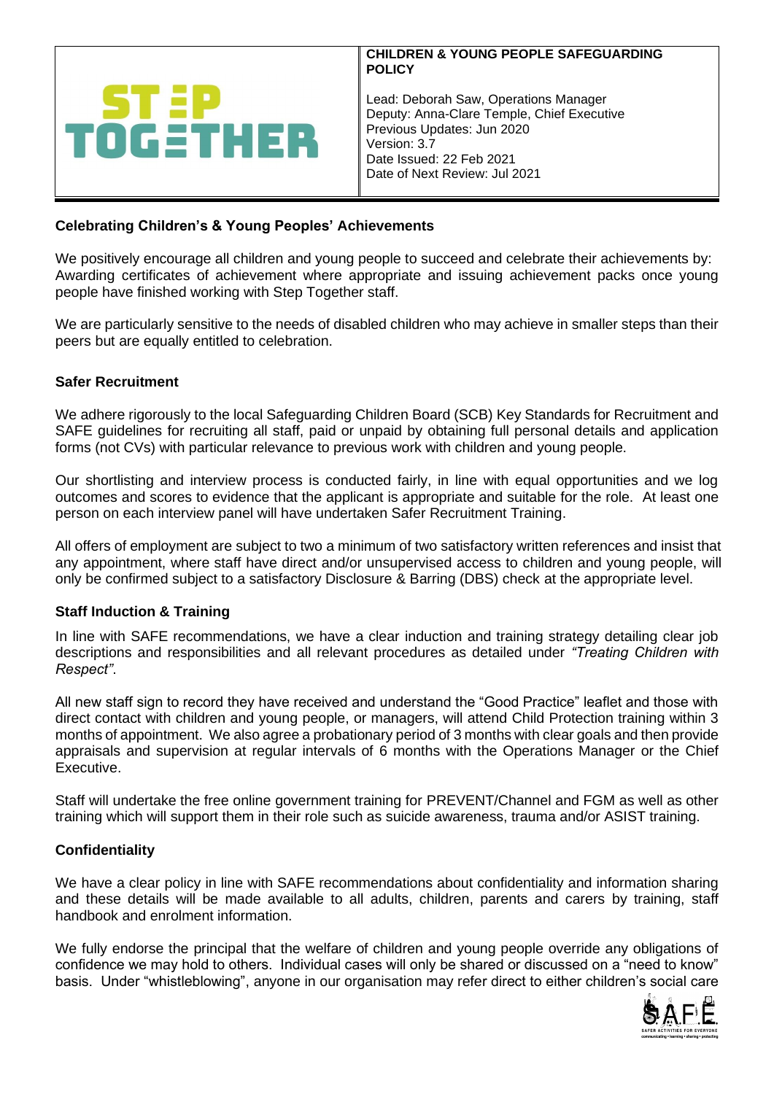

Lead: Deborah Saw, Operations Manager Deputy: Anna-Clare Temple, Chief Executive Previous Updates: Jun 2020 Version: 3.7 Date Issued: 22 Feb 2021 Date of Next Review: Jul 2021

# **Celebrating Children's & Young Peoples' Achievements**

We positively encourage all children and young people to succeed and celebrate their achievements by: Awarding certificates of achievement where appropriate and issuing achievement packs once young people have finished working with Step Together staff.

We are particularly sensitive to the needs of disabled children who may achieve in smaller steps than their peers but are equally entitled to celebration.

#### **Safer Recruitment**

We adhere rigorously to the local Safeguarding Children Board (SCB) Key Standards for Recruitment and SAFE guidelines for recruiting all staff, paid or unpaid by obtaining full personal details and application forms (not CVs) with particular relevance to previous work with children and young people.

Our shortlisting and interview process is conducted fairly, in line with equal opportunities and we log outcomes and scores to evidence that the applicant is appropriate and suitable for the role. At least one person on each interview panel will have undertaken Safer Recruitment Training.

All offers of employment are subject to two a minimum of two satisfactory written references and insist that any appointment, where staff have direct and/or unsupervised access to children and young people, will only be confirmed subject to a satisfactory Disclosure & Barring (DBS) check at the appropriate level.

#### **Staff Induction & Training**

In line with SAFE recommendations, we have a clear induction and training strategy detailing clear job descriptions and responsibilities and all relevant procedures as detailed under *"Treating Children with Respect"*.

All new staff sign to record they have received and understand the "Good Practice" leaflet and those with direct contact with children and young people, or managers, will attend Child Protection training within 3 months of appointment. We also agree a probationary period of 3 months with clear goals and then provide appraisals and supervision at regular intervals of 6 months with the Operations Manager or the Chief Executive.

Staff will undertake the free online government training for [PREVENT/Channel](http://course.ncalt.com/Channel_General_Awareness/01/index.html) and [FGM](https://fgmelearning.co.uk/) as well as other training which will support them in their role such as suicide awareness, trauma and/or ASIST training.

#### **Confidentiality**

We have a clear policy in line with SAFE recommendations about confidentiality and information sharing and these details will be made available to all adults, children, parents and carers by training, staff handbook and enrolment information.

We fully endorse the principal that the welfare of children and young people override any obligations of confidence we may hold to others. Individual cases will only be shared or discussed on a "need to know" basis. Under "whistleblowing", anyone in our organisation may refer direct to either children's social care

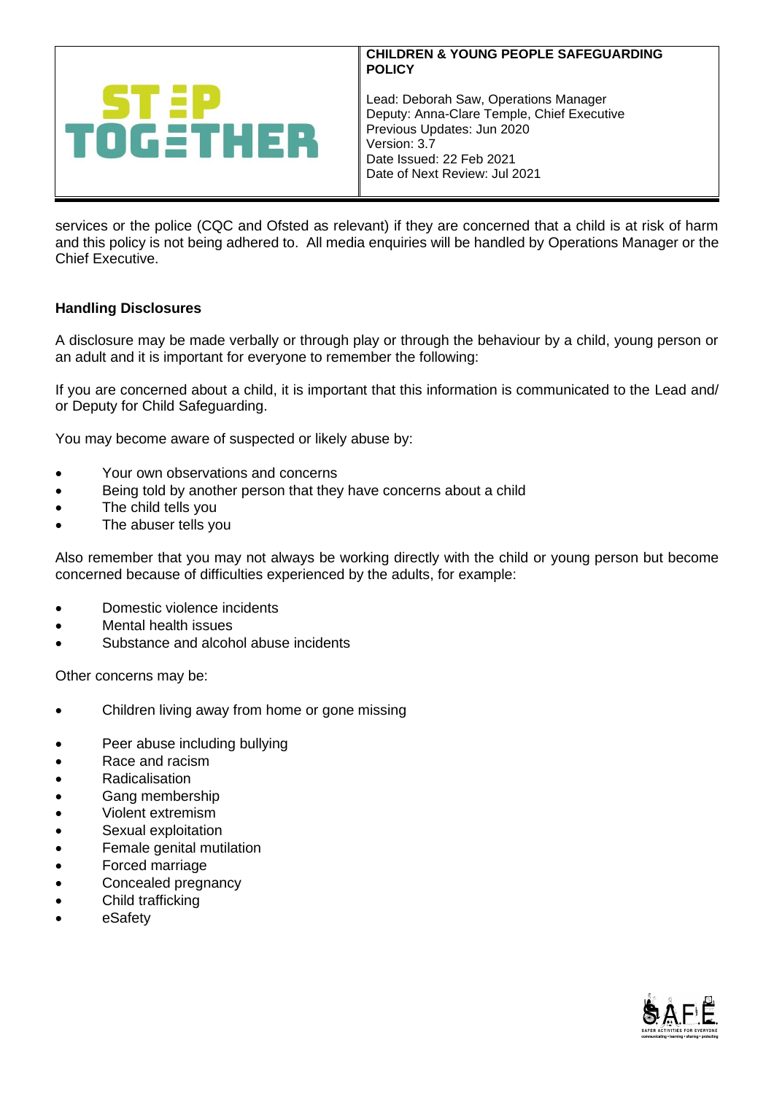

Lead: Deborah Saw, Operations Manager Deputy: Anna-Clare Temple, Chief Executive Previous Updates: Jun 2020 Version: 3.7 Date Issued: 22 Feb 2021 Date of Next Review: Jul 2021

services or the police (CQC and Ofsted as relevant) if they are concerned that a child is at risk of harm and this policy is not being adhered to. All media enquiries will be handled by Operations Manager or the Chief Executive.

# **Handling Disclosures**

A disclosure may be made verbally or through play or through the behaviour by a child, young person or an adult and it is important for everyone to remember the following:

If you are concerned about a child, it is important that this information is communicated to the Lead and/ or Deputy for Child Safeguarding.

You may become aware of suspected or likely abuse by:

- Your own observations and concerns
- Being told by another person that they have concerns about a child
- The child tells you
- The abuser tells you

Also remember that you may not always be working directly with the child or young person but become concerned because of difficulties experienced by the adults, for example:

- Domestic violence incidents
- Mental health issues
- Substance and alcohol abuse incidents

Other concerns may be:

- Children living away from home or gone missing
- Peer abuse including bullying
- Race and racism
- Radicalisation
- Gang membership
- Violent extremism
- Sexual exploitation
- Female genital mutilation
- Forced marriage
- Concealed pregnancy
- Child trafficking
- **eSafety**

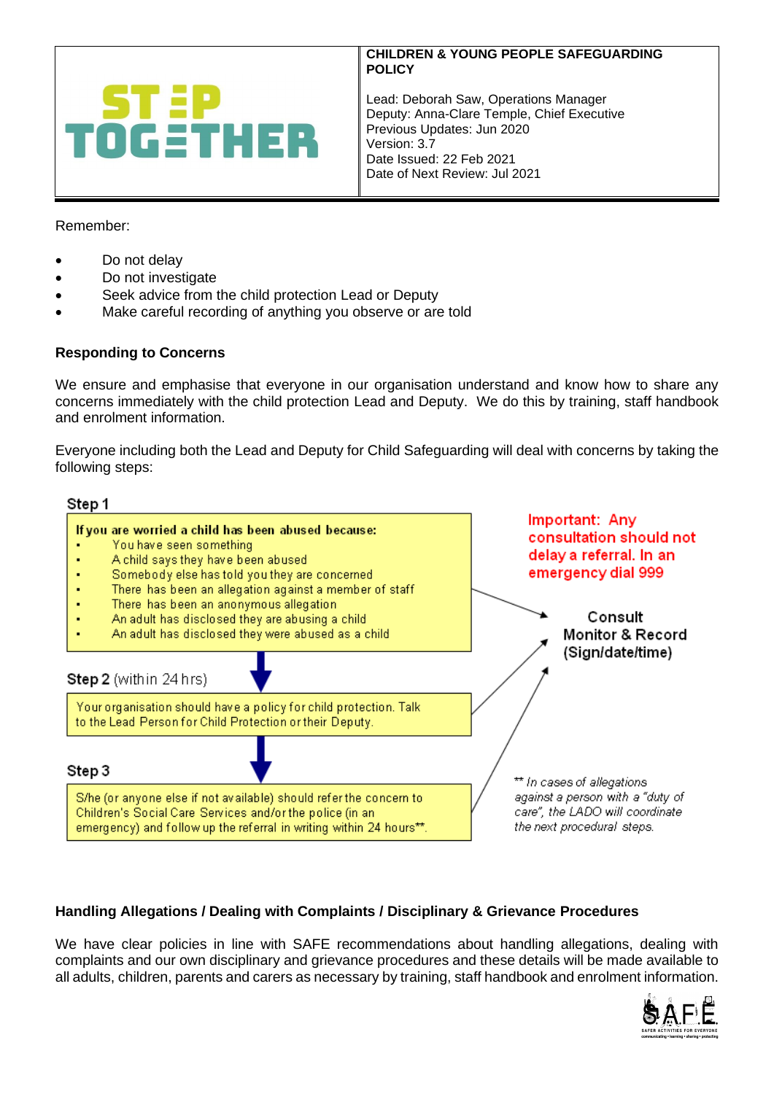

Lead: Deborah Saw, Operations Manager Deputy: Anna-Clare Temple, Chief Executive Previous Updates: Jun 2020 Version: 3.7 Date Issued: 22 Feb 2021 Date of Next Review: Jul 2021

Remember:

- Do not delay
- Do not investigate
- Seek advice from the child protection Lead or Deputy
- Make careful recording of anything you observe or are told

# **Responding to Concerns**

We ensure and emphasise that everyone in our organisation understand and know how to share any concerns immediately with the child protection Lead and Deputy. We do this by training, staff handbook and enrolment information.

Everyone including both the Lead and Deputy for Child Safeguarding will deal with concerns by taking the following steps:

#### Step 1



# **Handling Allegations / Dealing with Complaints / Disciplinary & Grievance Procedures**

We have clear policies in line with SAFE recommendations about handling allegations, dealing with complaints and our own disciplinary and grievance procedures and these details will be made available to all adults, children, parents and carers as necessary by training, staff handbook and enrolment information.

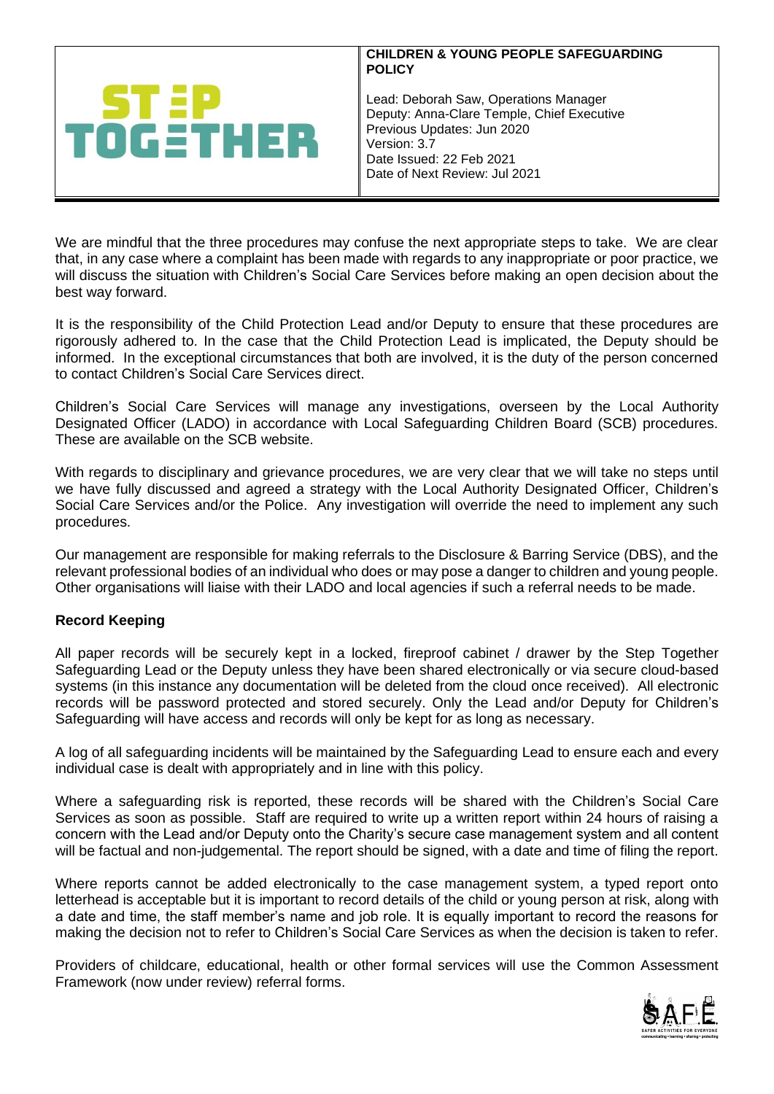

Lead: Deborah Saw, Operations Manager Deputy: Anna-Clare Temple, Chief Executive Previous Updates: Jun 2020 Version: 3.7 Date Issued: 22 Feb 2021 Date of Next Review: Jul 2021

We are mindful that the three procedures may confuse the next appropriate steps to take. We are clear that, in any case where a complaint has been made with regards to any inappropriate or poor practice, we will discuss the situation with Children's Social Care Services before making an open decision about the best way forward.

It is the responsibility of the Child Protection Lead and/or Deputy to ensure that these procedures are rigorously adhered to. In the case that the Child Protection Lead is implicated, the Deputy should be informed. In the exceptional circumstances that both are involved, it is the duty of the person concerned to contact Children's Social Care Services direct.

Children's Social Care Services will manage any investigations, overseen by the Local Authority Designated Officer (LADO) in accordance with Local Safeguarding Children Board (SCB) procedures. These are available on the SCB website.

With regards to disciplinary and grievance procedures, we are very clear that we will take no steps until we have fully discussed and agreed a strategy with the Local Authority Designated Officer, Children's Social Care Services and/or the Police. Any investigation will override the need to implement any such procedures.

Our management are responsible for making referrals to the Disclosure & Barring Service (DBS), and the relevant professional bodies of an individual who does or may pose a danger to children and young people. Other organisations will liaise with their LADO and local agencies if such a referral needs to be made.

# **Record Keeping**

All paper records will be securely kept in a locked, fireproof cabinet / drawer by the Step Together Safeguarding Lead or the Deputy unless they have been shared electronically or via secure cloud-based systems (in this instance any documentation will be deleted from the cloud once received). All electronic records will be password protected and stored securely. Only the Lead and/or Deputy for Children's Safeguarding will have access and records will only be kept for as long as necessary.

A log of all safeguarding incidents will be maintained by the Safeguarding Lead to ensure each and every individual case is dealt with appropriately and in line with this policy.

Where a safeguarding risk is reported, these records will be shared with the Children's Social Care Services as soon as possible. Staff are required to write up a written report within 24 hours of raising a concern with the Lead and/or Deputy onto the Charity's secure case management system and all content will be factual and non-judgemental. The report should be signed, with a date and time of filing the report.

Where reports cannot be added electronically to the case management system, a typed report onto letterhead is acceptable but it is important to record details of the child or young person at risk, along with a date and time, the staff member's name and job role. It is equally important to record the reasons for making the decision not to refer to Children's Social Care Services as when the decision is taken to refer.

Providers of childcare, educational, health or other formal services will use the Common Assessment Framework (now under review) referral forms.